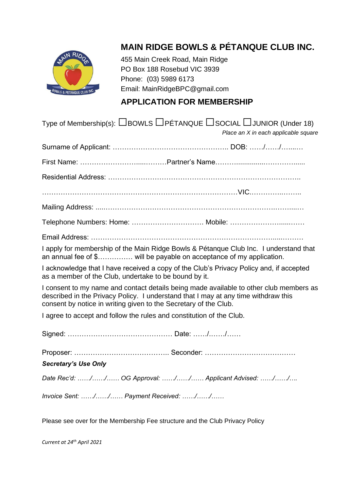

# **MAIN RIDGE BOWLS & PÉTANQUE CLUB INC.**

455 Main Creek Road, Main Ridge PO Box 188 Rosebud VIC 3939 Phone: (03) 5989 6173 Email: MainRidgeBPC@gmail.com

#### **APPLICATION FOR MEMBERSHIP**

| Type of Membership(s): $\Box$ BOWLS $\Box$ PÉTANQUE $\Box$ SOCIAL $\Box$ JUNIOR (Under 18)<br>Place an X in each applicable square                                                                                                               |
|--------------------------------------------------------------------------------------------------------------------------------------------------------------------------------------------------------------------------------------------------|
|                                                                                                                                                                                                                                                  |
|                                                                                                                                                                                                                                                  |
|                                                                                                                                                                                                                                                  |
|                                                                                                                                                                                                                                                  |
|                                                                                                                                                                                                                                                  |
| Telephone Numbers: Home:  Mobile:                                                                                                                                                                                                                |
|                                                                                                                                                                                                                                                  |
| I apply for membership of the Main Ridge Bowls & Pétanque Club Inc. I understand that<br>an annual fee of \$ will be payable on acceptance of my application.                                                                                    |
| I acknowledge that I have received a copy of the Club's Privacy Policy and, if accepted<br>as a member of the Club, undertake to be bound by it.                                                                                                 |
| I consent to my name and contact details being made available to other club members as<br>described in the Privacy Policy. I understand that I may at any time withdraw this<br>consent by notice in writing given to the Secretary of the Club. |
| I agree to accept and follow the rules and constitution of the Club.                                                                                                                                                                             |
|                                                                                                                                                                                                                                                  |
|                                                                                                                                                                                                                                                  |
| <b>Secretary's Use Only</b>                                                                                                                                                                                                                      |
| Date Rec'd: // OG Approval: // Applicant Advised: //                                                                                                                                                                                             |
| Invoice Sent: // Payment Received: //                                                                                                                                                                                                            |
| Please see over for the Membership Fee structure and the Club Privacy Policy                                                                                                                                                                     |

*Current at 24th April 2021*